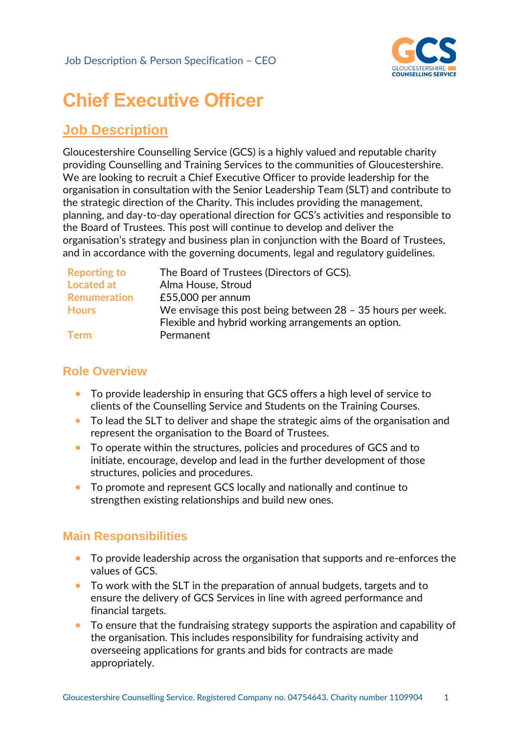

# **Chief Executive Officer**

## **Job Description**

Gloucestershire Counselling Service (GCS) is a highly valued and reputable charity providing Counselling and Training Services to the communities of Gloucestershire. We are looking to recruit a Chief Executive Officer to provide leadership for the organisation in consultation with the Senior Leadership Team (SLT) and contribute to the strategic direction of the Charity. This includes providing the management, planning, and day-to-day operational direction for GCS's activities and responsible to the Board of Trustees. This post will continue to develop and deliver the organisation's strategy and business plan in conjunction with the Board of Trustees, and in accordance with the governing documents, legal and regulatory guidelines.

| <b>Reporting to</b> | The Board of Trustees (Directors of GCS).                     |
|---------------------|---------------------------------------------------------------|
| Located at          | Alma House, Stroud                                            |
| Renumeration        | £55,000 per annum                                             |
| <b>Hours</b>        | We envisage this post being between $28 - 35$ hours per week. |
|                     | Flexible and hybrid working arrangements an option.           |
| <b>Term</b>         | Permanent                                                     |

## **Role Overview**

- To provide leadership in ensuring that GCS offers a high level of service to clients of the Counselling Service and Students on the Training Courses.
- To lead the SLT to deliver and shape the strategic aims of the organisation and represent the organisation to the Board of Trustees.
- To operate within the structures, policies and procedures of GCS and to initiate, encourage, develop and lead in the further development of those structures, policies and procedures.
- To promote and represent GCS locally and nationally and continue to strengthen existing relationships and build new ones.

## **Main Responsibilities**

- To provide leadership across the organisation that supports and re-enforces the values of GCS.
- To work with the SLT in the preparation of annual budgets, targets and to ensure the delivery of GCS Services in line with agreed performance and financial targets.
- To ensure that the fundraising strategy supports the aspiration and capability of the organisation. This includes responsibility for fundraising activity and overseeing applications for grants and bids for contracts are made appropriately.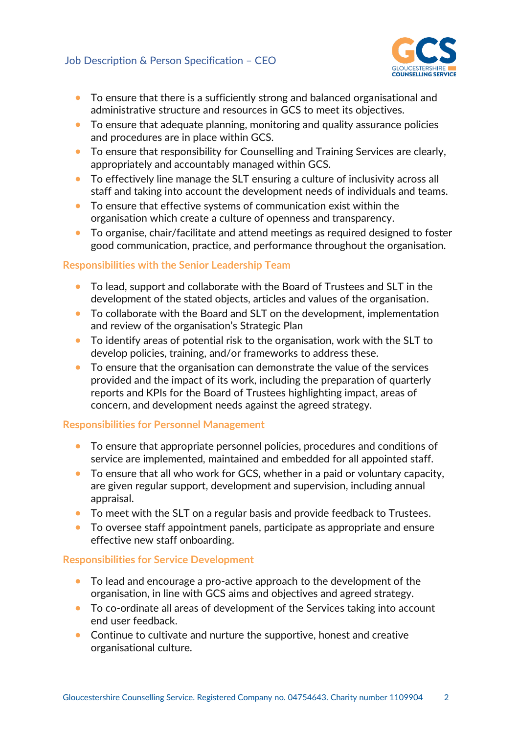#### Job Description & Person Specification – CEO



- To ensure that there is a sufficiently strong and balanced organisational and administrative structure and resources in GCS to meet its objectives.
- To ensure that adequate planning, monitoring and quality assurance policies and procedures are in place within GCS.
- To ensure that responsibility for Counselling and Training Services are clearly, appropriately and accountably managed within GCS.
- To effectively line manage the SLT ensuring a culture of inclusivity across all staff and taking into account the development needs of individuals and teams.
- To ensure that effective systems of communication exist within the organisation which create a culture of openness and transparency.
- To organise, chair/facilitate and attend meetings as required designed to foster good communication, practice, and performance throughout the organisation.

#### **Responsibilities with the Senior Leadership Team**

- To lead, support and collaborate with the Board of Trustees and SLT in the development of the stated objects, articles and values of the organisation.
- To collaborate with the Board and SLT on the development, implementation and review of the organisation's Strategic Plan
- To identify areas of potential risk to the organisation, work with the SLT to develop policies, training, and/or frameworks to address these.
- To ensure that the organisation can demonstrate the value of the services provided and the impact of its work, including the preparation of quarterly reports and KPIs for the Board of Trustees highlighting impact, areas of concern, and development needs against the agreed strategy.

#### **Responsibilities for Personnel Management**

- To ensure that appropriate personnel policies, procedures and conditions of service are implemented, maintained and embedded for all appointed staff.
- To ensure that all who work for GCS, whether in a paid or voluntary capacity, are given regular support, development and supervision, including annual appraisal.
- To meet with the SLT on a regular basis and provide feedback to Trustees.
- To oversee staff appointment panels, participate as appropriate and ensure effective new staff onboarding.

#### **Responsibilities for Service Development**

- To lead and encourage a pro-active approach to the development of the organisation, in line with GCS aims and objectives and agreed strategy.
- To co-ordinate all areas of development of the Services taking into account end user feedback.
- Continue to cultivate and nurture the supportive, honest and creative organisational culture.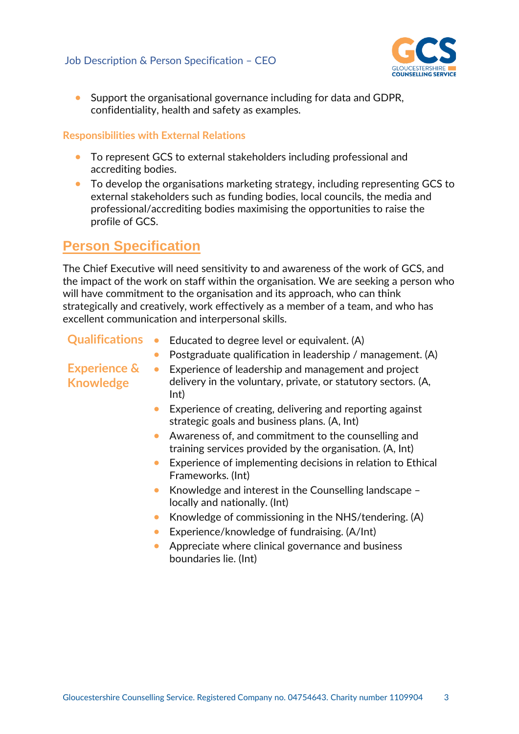#### Job Description & Person Specification – CEO



• Support the organisational governance including for data and GDPR, confidentiality, health and safety as examples.

#### **Responsibilities with External Relations**

- To represent GCS to external stakeholders including professional and accrediting bodies.
- To develop the organisations marketing strategy, including representing GCS to external stakeholders such as funding bodies, local councils, the media and professional/accrediting bodies maximising the opportunities to raise the profile of GCS.

## **Person Specification**

The Chief Executive will need sensitivity to and awareness of the work of GCS, and the impact of the work on staff within the organisation. We are seeking a person who will have commitment to the organisation and its approach, who can think strategically and creatively, work effectively as a member of a team, and who has excellent communication and interpersonal skills.

| <b>Qualifications</b>                       |           | Educated to degree level or equivalent. (A)                                                                                  |
|---------------------------------------------|-----------|------------------------------------------------------------------------------------------------------------------------------|
|                                             |           | Postgraduate qualification in leadership / management. (A)                                                                   |
| <b>Experience &amp;</b><br><b>Knowledge</b> | $\bullet$ | Experience of leadership and management and project<br>delivery in the voluntary, private, or statutory sectors. (A,<br>Int) |
|                                             |           | Experience of creating, delivering and reporting against<br>strategic goals and business plans. (A, Int)                     |
|                                             |           | Awareness of, and commitment to the counselling and<br>training services provided by the organisation. (A, Int)              |
|                                             |           | Experience of implementing decisions in relation to Ethical<br>Frameworks. (Int)                                             |
|                                             |           | Knowledge and interest in the Counselling landscape -<br>locally and nationally. (Int)                                       |
|                                             |           | Knowledge of commissioning in the NHS/tendering. (A)                                                                         |
|                                             |           | Experience/knowledge of fundraising. (A/Int)                                                                                 |

• Appreciate where clinical governance and business boundaries lie. (Int)